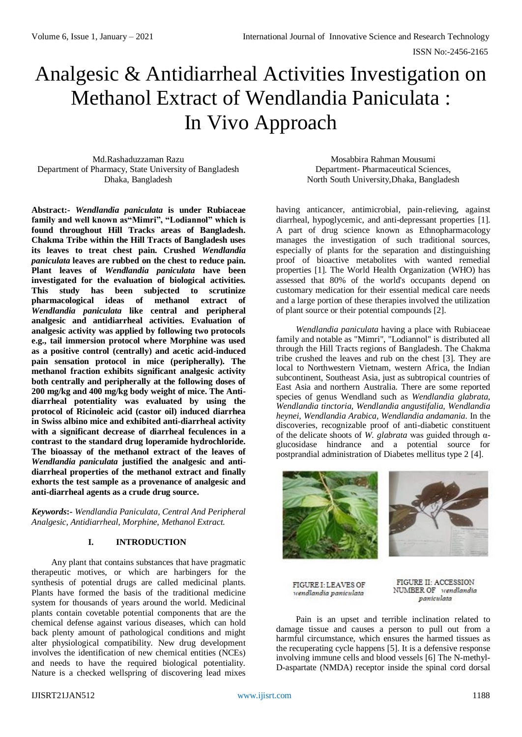# Analgesic & Antidiarrheal Activities Investigation on Methanol Extract of Wendlandia Paniculata : In Vivo Approach

Md.Rashaduzzaman Razu Department of Pharmacy, State University of Bangladesh Dhaka, Bangladesh

**Abstract:-** *Wendlandia paniculata* **is under Rubiaceae family and well known as"Mimri", "Lodiannol" which is found throughout Hill Tracks areas of Bangladesh. Chakma Tribe within the Hill Tracts of Bangladesh uses its leaves to treat chest pain. Crushed** *Wendlandia paniculata* **leaves are rubbed on the chest to reduce pain. Plant leaves of** *Wendlandia paniculata* **have been investigated for the evaluation of biological activities. This study has been subjected to scrutinize pharmacological ideas of methanol extract of**  *Wendlandia paniculata* **like central and peripheral analgesic and antidiarrheal activities. Evaluation of analgesic activity was applied by following two protocols e.g., tail immersion protocol where Morphine was used as a positive control (centrally) and acetic acid-induced pain sensation protocol in mice (peripherally). The methanol fraction exhibits significant analgesic activity both centrally and peripherally at the following doses of 200 mg/kg and 400 mg/kg body weight of mice. The Antidiarrheal potentiality was evaluated by using the protocol of Ricinoleic acid (castor oil) induced diarrhea in Swiss albino mice and exhibited anti-diarrheal activity with a significant decrease of diarrheal feculences in a contrast to the standard drug loperamide hydrochloride. The bioassay of the methanol extract of the leaves of**  *Wendlandia paniculata* **justified the analgesic and antidiarrheal properties of the methanol extract and finally exhorts the test sample as a provenance of analgesic and anti-diarrheal agents as a crude drug source.**

*Keywords***:-** *Wendlandia Paniculata, Central And Peripheral Analgesic, Antidiarrheal, Morphine, Methanol Extract.*

## **I. INTRODUCTION**

Any plant that contains substances that have pragmatic therapeutic motives, or which are harbingers for the synthesis of potential drugs are called medicinal plants. Plants have formed the basis of the traditional medicine system for thousands of years around the world. Medicinal plants contain covetable potential components that are the chemical defense against various diseases, which can hold back plenty amount of pathological conditions and might alter physiological compatibility. New drug development involves the identification of new chemical entities (NCEs) and needs to have the required biological potentiality. Nature is a checked wellspring of discovering lead mixes

Mosabbira Rahman Mousumi Department- Pharmaceutical Sciences, North South University,Dhaka, Bangladesh

having anticancer, antimicrobial, pain-relieving, against diarrheal, hypoglycemic, and anti-depressant properties [1]. A part of drug science known as Ethnopharmacology manages the investigation of such traditional sources, especially of plants for the separation and distinguishing proof of bioactive metabolites with wanted remedial properties [1]. The World Health Organization (WHO) has assessed that 80% of the world's occupants depend on customary medication for their essential medical care needs and a large portion of these therapies involved the utilization of plant source or their potential compounds [2].

*Wendlandia paniculata* having a place with Rubiaceae family and notable as "Mimri", "Lodiannol" is distributed all through the Hill Tracts regions of Bangladesh. The Chakma tribe crushed the leaves and rub on the chest [3]. They are local to Northwestern Vietnam, western Africa, the Indian subcontinent, Southeast Asia, just as subtropical countries of East Asia and northern Australia. There are some reported species of genus Wendland such as *Wendlandia glabrata, Wendlandia tinctoria, Wendlandia angustifalia, Wendlandia heynei, Wendlandia Arabica, Wendlandia andamania.* In the discoveries, recognizable proof of anti-diabetic constituent of the delicate shoots of *W. glabrata* was guided through αglucosidase hindrance and a potential source for postprandial administration of Diabetes mellitus type 2 [4].





**FIGURE I: LEAVES OF** wendlandia paniculata

FIGURE II: ACCESSION NUMBER OF wendlandia paniculata

Pain is an upset and terrible inclination related to damage tissue and causes a person to pull out from a harmful circumstance, which ensures the harmed tissues as the recuperating cycle happens [5]. It is a defensive response involving immune cells and blood vessels [6] The N-methyl-D-aspartate (NMDA) receptor inside the spinal cord dorsal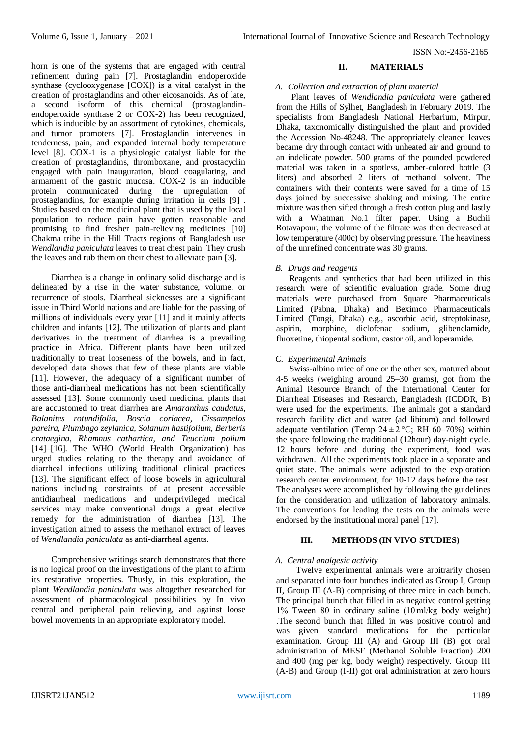horn is one of the systems that are engaged with central refinement during pain [7]. Prostaglandin endoperoxide synthase (cyclooxygenase [COX]) is a vital catalyst in the creation of prostaglandins and other eicosanoids. As of late, a second isoform of this chemical (prostaglandinendoperoxide synthase 2 or COX-2) has been recognized, which is inducible by an assortment of cytokines, chemicals, and tumor promoters [7]. Prostaglandin intervenes in tenderness, pain, and expanded internal body temperature level [8]. COX-1 is a physiologic catalyst liable for the creation of prostaglandins, thromboxane, and prostacyclin engaged with pain inauguration, blood coagulating, and armament of the gastric mucosa. COX-2 is an inducible protein communicated during the upregulation of prostaglandins, for example during irritation in cells [9] . Studies based on the medicinal plant that is used by the local population to reduce pain have gotten reasonable and promising to find fresher pain-relieving medicines [10] Chakma tribe in the Hill Tracts regions of Bangladesh use *Wendlandia paniculata* leaves to treat chest pain. They crush the leaves and rub them on their chest to alleviate pain [3].

Diarrhea is a change in ordinary solid discharge and is delineated by a rise in the water substance, volume, or recurrence of stools. Diarrheal sicknesses are a significant issue in Third World nations and are liable for the passing of millions of individuals every year [11] and it mainly affects children and infants [12]. The utilization of plants and plant derivatives in the treatment of diarrhea is a prevailing practice in Africa. Different plants have been utilized traditionally to treat looseness of the bowels, and in fact, developed data shows that few of these plants are viable [11]. However, the adequacy of a significant number of those anti-diarrheal medications has not been scientifically assessed [13]. Some commonly used medicinal plants that are accustomed to treat diarrhea are *Amaranthus caudatus, Balanites rotundifolia, Boscia coriacea, Cissampelos pareira, Plumbago zeylanica, Solanum hastifolium, Berberis crataegina, Rhamnus cathartica, and Teucrium polium*  [14]–[16]. The WHO (World Health Organization) has urged studies relating to the therapy and avoidance of diarrheal infections utilizing traditional clinical practices [13]. The significant effect of loose bowels in agricultural nations including constraints of at present accessible antidiarrheal medications and underprivileged medical services may make conventional drugs a great elective remedy for the administration of diarrhea [13]. The investigation aimed to assess the methanol extract of leaves of *Wendlandia paniculata* as anti-diarrheal agents.

Comprehensive writings search demonstrates that there is no logical proof on the investigations of the plant to affirm its restorative properties. Thusly, in this exploration, the plant *Wendlandia paniculata* was altogether researched for assessment of pharmacological possibilities by In vivo central and peripheral pain relieving, and against loose bowel movements in an appropriate exploratory model.

### **II. MATERIALS**

## *A. Collection and extraction of plant material*

 Plant leaves of *Wendlandia paniculata* were gathered from the Hills of Sylhet, Bangladesh in February 2019. The specialists from Bangladesh National Herbarium, Mirpur, Dhaka, taxonomically distinguished the plant and provided the Accession No-48248. The appropriately cleaned leaves became dry through contact with unheated air and ground to an indelicate powder. 500 grams of the pounded powdered material was taken in a spotless, amber-colored bottle (3 liters) and absorbed 2 liters of methanol solvent. The containers with their contents were saved for a time of 15 days joined by successive shaking and mixing. The entire mixture was then sifted through a fresh cotton plug and lastly with a Whatman No.1 filter paper. Using a Buchii Rotavapour, the volume of the filtrate was then decreased at low temperature (400c) by observing pressure*.* The heaviness of the unrefined concentrate was 30 grams.

### *B. Drugs and reagents*

 Reagents and synthetics that had been utilized in this research were of scientific evaluation grade. Some drug materials were purchased from Square Pharmaceuticals Limited (Pabna, Dhaka) and Beximco Pharmaceuticals Limited (Tongi, Dhaka) e.g., ascorbic acid, streptokinase, aspirin, morphine, diclofenac sodium, glibenclamide, fluoxetine, thiopental sodium, castor oil, and loperamide.

## *C. Experimental Animals*

 Swiss-albino mice of one or the other sex, matured about 4-5 weeks (weighing around 25–30 grams), got from the Animal Resource Branch of the International Center for Diarrheal Diseases and Research, Bangladesh (ICDDR, B) were used for the experiments. The animals got a standard research facility diet and water (ad libitum) and followed adequate ventilation (Temp  $24 \pm 2$  °C; RH 60–70%) within the space following the traditional (12hour) day-night cycle. 12 hours before and during the experiment, food was withdrawn. All the experiments took place in a separate and quiet state. The animals were adjusted to the exploration research center environment, for 10-12 days before the test. The analyses were accomplished by following the guidelines for the consideration and utilization of laboratory animals. The conventions for leading the tests on the animals were endorsed by the institutional moral panel [17].

## **III. METHODS (IN VIVO STUDIES)**

### *A. Central analgesic activity*

Twelve experimental animals were arbitrarily chosen and separated into four bunches indicated as Group I, Group II, Group III (A-B) comprising of three mice in each bunch. The principal bunch that filled in as negative control getting 1% Tween 80 in ordinary saline (10 ml/kg body weight) .The second bunch that filled in was positive control and was given standard medications for the particular examination. Group III (A) and Group III (B) got oral administration of MESF (Methanol Soluble Fraction) 200 and 400 (mg per kg, body weight) respectively. Group III (A-B) and Group (I-II) got oral administration at zero hours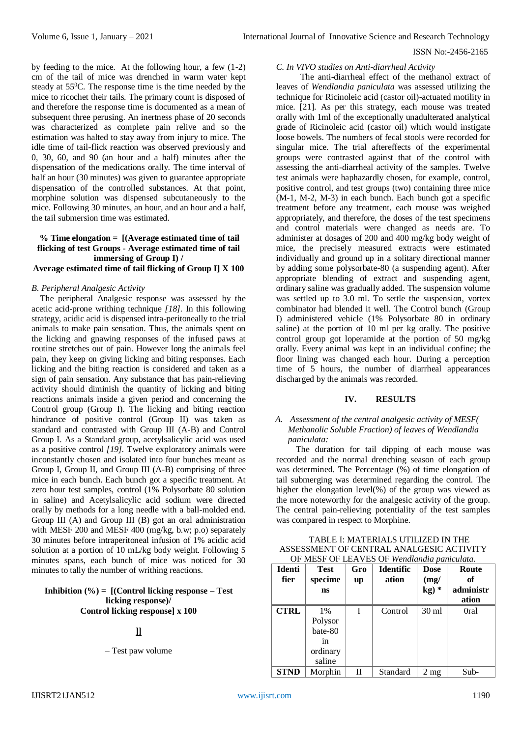by feeding to the mice. At the following hour, a few (1-2) cm of the tail of mice was drenched in warm water kept steady at 55<sup>0</sup>C. The response time is the time needed by the mice to ricochet their tails. The primary count is disposed of and therefore the response time is documented as a mean of subsequent three perusing. An inertness phase of 20 seconds was characterized as complete pain relive and so the estimation was halted to stay away from injury to mice. The idle time of tail-flick reaction was observed previously and 0, 30, 60, and 90 (an hour and a half) minutes after the dispensation of the medications orally. The time interval of half an hour (30 minutes) was given to guarantee appropriate dispensation of the controlled substances. At that point, morphine solution was dispensed subcutaneously to the mice. Following 30 minutes, an hour, and an hour and a half, the tail submersion time was estimated.

# **% Time elongation = [(Average estimated time of tail flicking of test Groups - Average estimated time of tail immersing of Group I) /**

## **Average estimated time of tail flicking of Group I] X 100**

### *B. Peripheral Analgesic Activity*

The peripheral Analgesic response was assessed by the acetic acid-prone writhing technique *[18].* In this following strategy, acidic acid is dispensed intra-peritoneally to the trial animals to make pain sensation. Thus, the animals spent on the licking and gnawing responses of the infused paws at routine stretches out of pain. However long the animals feel pain, they keep on giving licking and biting responses. Each licking and the biting reaction is considered and taken as a sign of pain sensation. Any substance that has pain-relieving activity should diminish the quantity of licking and biting reactions animals inside a given period and concerning the Control group (Group I). The licking and biting reaction hindrance of positive control (Group II) was taken as standard and contrasted with Group III (A-B) and Control Group I. As a Standard group, acetylsalicylic acid was used as a positive control *[19].* Twelve exploratory animals were inconstantly chosen and isolated into four bunches meant as Group I, Group II, and Group III (A-B) comprising of three mice in each bunch. Each bunch got a specific treatment. At zero hour test samples, control (1% Polysorbate 80 solution in saline) and Acetylsalicylic acid sodium were directed orally by methods for a long needle with a ball-molded end. Group III (A) and Group III (B) got an oral administration with MESF 200 and MESF 400 (mg/kg, b.w; p.o) separately 30 minutes before intraperitoneal infusion of 1% acidic acid solution at a portion of 10 mL/kg body weight. Following 5 minutes spans, each bunch of mice was noticed for 30 minutes to tally the number of writhing reactions.

#### **Inhibition (%) = [(Control licking response – Test licking response)/ Control licking response] x 100**

#### **]]**

– Test paw volume

#### *C. In VIVO studies on Anti-diarrheal Activity*

The anti-diarrheal effect of the methanol extract of leaves of *Wendlandia paniculata* was assessed utilizing the technique for Ricinoleic acid (castor oil)-actuated motility in mice. [21]. As per this strategy, each mouse was treated orally with 1ml of the exceptionally unadulterated analytical grade of Ricinoleic acid (castor oil) which would instigate loose bowels. The numbers of fecal stools were recorded for singular mice. The trial aftereffects of the experimental groups were contrasted against that of the control with assessing the anti-diarrheal activity of the samples. Twelve test animals were haphazardly chosen, for example, control, positive control, and test groups (two) containing three mice (M-1, M-2, M-3) in each bunch. Each bunch got a specific treatment before any treatment, each mouse was weighed appropriately, and therefore, the doses of the test specimens and control materials were changed as needs are. To administer at dosages of 200 and 400 mg/kg body weight of mice, the precisely measured extracts were estimated individually and ground up in a solitary directional manner by adding some polysorbate-80 (a suspending agent). After appropriate blending of extract and suspending agent, ordinary saline was gradually added. The suspension volume was settled up to 3.0 ml. To settle the suspension, vortex combinator had blended it well. The Control bunch (Group I) administered vehicle (1% Polysorbate 80 in ordinary saline) at the portion of 10 ml per kg orally. The positive control group got loperamide at the portion of 50 mg/kg orally. Every animal was kept in an individual confine; the floor lining was changed each hour. During a perception time of 5 hours, the number of diarrheal appearances discharged by the animals was recorded.

## **IV. RESULTS**

## *A. Assessment of the central analgesic activity of MESF( Methanolic Soluble Fraction) of leaves of Wendlandia paniculata:*

The duration for tail dipping of each mouse was recorded and the normal drenching season of each group was determined. The Percentage (%) of time elongation of tail submerging was determined regarding the control. The higher the elongation level(%) of the group was viewed as the more noteworthy for the analgesic activity of the group. The central pain-relieving potentiality of the test samples was compared in respect to Morphine.

|               |             |     | 01 MLSI OI LLAVLS OI Mehandhan panicanan. |                 |           |
|---------------|-------------|-----|-------------------------------------------|-----------------|-----------|
| <b>Identi</b> | <b>Test</b> | Gro | <b>Identific</b>                          | Dose            | Route     |
| fier          | specime     | up  | ation                                     | (mg)            | оf        |
|               | <b>ns</b>   |     |                                           | $kg)*$          | administr |
|               |             |     |                                           |                 | ation     |
| <b>CTRL</b>   | $1\%$       | I   | Control                                   | $30 \text{ ml}$ | 0ral      |
|               | Polysor     |     |                                           |                 |           |
|               | bate-80     |     |                                           |                 |           |
|               | 1n          |     |                                           |                 |           |
|               | ordinary    |     |                                           |                 |           |
|               | saline      |     |                                           |                 |           |
| <b>STND</b>   | Morphin     | Н   | Standard                                  | $2 \text{ mg}$  | Sub-      |

TABLE I: MATERIALS UTILIZED IN THE ASSESSMENT OF CENTRAL ANALGESIC ACTIVITY OF MESF OF LEAVES OF *Wendlandia paniculata.*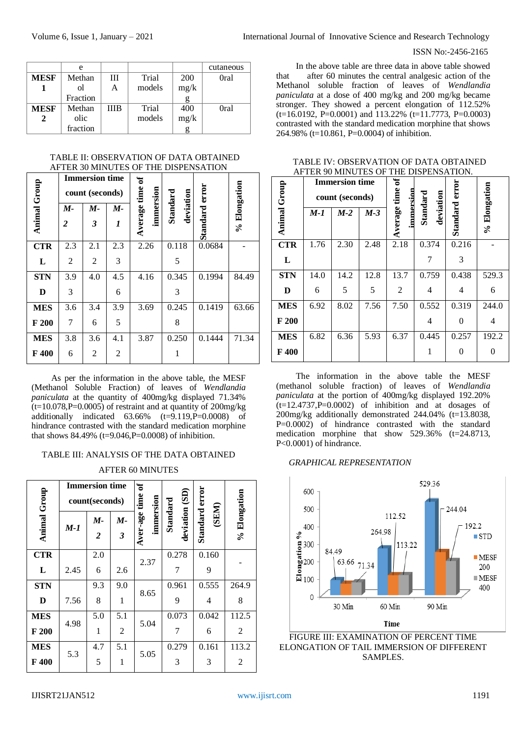|             | e        |    |        |            | cutaneous |
|-------------|----------|----|--------|------------|-----------|
| <b>MESF</b> | Methan   | Ш  | Trial  | <b>200</b> | 0ral      |
|             | οl       | Α  | models | mg/k       |           |
|             | Fraction |    |        |            |           |
| <b>MESF</b> | Methan   | ШB | Trial  | 400        | 0ral      |
|             | olic     |    | models | mg/k       |           |
|             | fraction |    |        |            |           |

TABLE II: OBSERVATION OF DATA OBTAINED AFTER 30 MINUTES OF THE DISPENSATION

|              |                  | <b>Immersion time</b><br>count (seconds) |     | ัธ           |                       |                |              |
|--------------|------------------|------------------------------------------|-----|--------------|-----------------------|----------------|--------------|
| Animal Group | М-               | М-                                       | М-  | immersion    | Standard<br>deviation |                | % Elongation |
|              | $\boldsymbol{2}$ | 3                                        | 1   | Average time |                       | Standard error |              |
| <b>CTR</b>   | 2.3              | 2.1                                      | 2.3 | 2.26         | 0.118                 | 0.0684         |              |
| L            | $\overline{2}$   | 2                                        | 3   |              | 5                     |                |              |
| <b>STN</b>   | 3.9              | 4.0                                      | 4.5 | 4.16         | 0.345                 | 0.1994         | 84.49        |
| D            | 3                |                                          | 6   |              | 3                     |                |              |
| <b>MES</b>   | 3.6              | 3.4                                      | 3.9 | 3.69         | 0.245                 | 0.1419         | 63.66        |
| F200         | 7                | 6                                        | 5   |              | 8                     |                |              |
| <b>MES</b>   | 3.8              | 3.6                                      | 4.1 | 3.87         | 0.250                 | 0.1444         | 71.34        |
| F 400        | 6                | 2                                        | 2   |              | 1                     |                |              |

As per the information in the above table, the MESF (Methanol Soluble Fraction) of leaves of *Wendlandia paniculata* at the quantity of 400mg/kg displayed 71.34%  $(t=10.078, P=0.0005)$  of restraint and at quantity of 200mg/kg additionally indicated  $63.66\%$   $(t=9.119, P=0.0008)$  of hindrance contrasted with the standard medication morphine that shows 84.49% (t=9.046,P=0.0008) of inhibition.

## TABLE III: ANALYSIS OF THE DATA OBTAINED

## AFTER 60 MINUTES

|                     |       | <b>Immersion time</b><br>count(seconds) |                            | $\sigma$                   |                            |                         |                |
|---------------------|-------|-----------------------------------------|----------------------------|----------------------------|----------------------------|-------------------------|----------------|
| <b>Animal Group</b> | $M-1$ | М-<br>$\overline{2}$                    | М-<br>$\boldsymbol{\beta}$ | Aver-age time<br>immersion | deviation (SD)<br>Standard | Standard error<br>(SEM) | % Elongation   |
| <b>CTR</b>          |       | 2.0                                     |                            | 2.37                       | 0.278                      | 0.160                   |                |
| L                   | 2.45  | 6                                       | 2.6                        |                            | 7                          | 9                       |                |
| <b>STN</b>          |       | 9.3                                     | 9.0                        | 8.65                       | 0.961                      | 0.555                   | 264.9          |
| D                   | 7.56  | 8                                       | 1                          |                            | 9                          | $\overline{4}$          | 8              |
| <b>MES</b>          | 4.98  | 5.0                                     | 5.1                        | 5.04                       | 0.073                      | 0.042                   | 112.5          |
| F200                |       | 1                                       | $\overline{2}$             |                            | 7                          | 6                       | $\overline{2}$ |
| <b>MES</b>          | 5.3   | 4.7                                     | 5.1                        | 5.05                       | 0.279                      | 0.161                   | 113.2          |
| F 400               |       | 5                                       | 1                          |                            | 3                          | 3                       | 2              |

#### ISSN No:-2456-2165

In the above table are three data in above table showed that after 60 minutes the central analgesic action of the Methanol soluble fraction of leaves of *Wendlandia paniculata* at a dose of 400 mg/kg and 200 mg/kg became stronger. They showed a percent elongation of 112.52%  $(t=16.0192, P=0.0001)$  and 113.22%  $(t=11.7773, P=0.0003)$ contrasted with the standard medication morphine that shows 264.98% (t=10.861, P=0.0004) of inhibition.

| TABLE IV: OBSERVATION OF DATA OBTAINED |
|----------------------------------------|
| AFTER 90 MINUTES OF THE DISPENSATION.  |

|                     |      | <b>Immersion time</b> |       | ัธ                   |                       |          |              |
|---------------------|------|-----------------------|-------|----------------------|-----------------------|----------|--------------|
|                     |      | count (seconds)       |       | time                 |                       | error    |              |
| <b>Animal Group</b> | M-1  | $M-2$                 | $M-3$ | immersion<br>Average | deviation<br>Standard | Standard | % Elongation |
| <b>CTR</b>          | 1.76 | 2.30                  | 2.48  | 2.18                 | 0.374                 | 0.216    |              |
| L                   |      |                       |       |                      |                       | 3        |              |
| <b>STN</b>          | 14.0 | 14.2                  | 12.8  | 13.7                 | 0.759                 | 0.438    | 529.3        |
| D                   | 6    | 5                     | 5     | $\overline{2}$       | 4                     | 4        | 6            |
| <b>MES</b>          | 6.92 | 8.02                  | 7.56  | 7.50                 | 0.552                 | 0.319    | 244.0        |
| F 200               |      |                       |       |                      | 4                     | 0        | 4            |
| <b>MES</b>          | 6.82 | 6.36                  | 5.93  | 6.37                 | 0.445                 | 0.257    | 192.2        |
| F 400               |      |                       |       |                      |                       | 0        | 0            |

The information in the above table the MESF (methanol soluble fraction) of leaves of *Wendlandia paniculata* at the portion of 400mg/kg displayed 192.20%  $(t=12.4737, P=0.0002)$  of inhibition and at dosages of 200mg/kg additionally demonstrated 244.04% (t=13.8038, P=0.0002) of hindrance contrasted with the standard medication morphine that show 529.36% (t=24.8713, P<0.0001) of hindrance.

#### *GRAPHICAL REPRESENTATION*



ELONGATION OF TAIL IMMERSION OF DIFFERENT SAMPLES.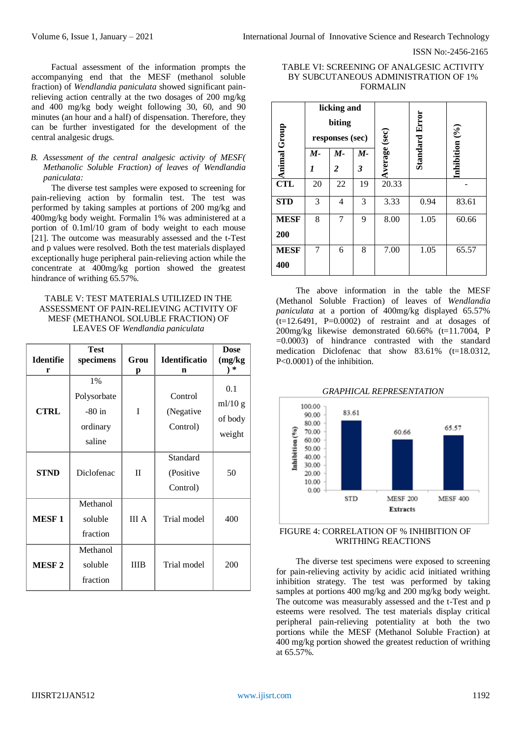Factual assessment of the information prompts the accompanying end that the MESF (methanol soluble fraction) of *Wendlandia paniculata* showed significant painrelieving action centrally at the two dosages of 200 mg/kg and 400 mg/kg body weight following 30, 60, and 90 minutes (an hour and a half) of dispensation. Therefore, they can be further investigated for the development of the central analgesic drugs.

## *B. Assessment of the central analgesic activity of MESF( Methanolic Soluble Fraction) of leaves of Wendlandia paniculata:*

The diverse test samples were exposed to screening for pain-relieving action by formalin test. The test was performed by taking samples at portions of 200 mg/kg and 400mg/kg body weight. Formalin 1% was administered at a portion of 0.1ml/10 gram of body weight to each mouse [21]. The outcome was measurably assessed and the t-Test and p values were resolved. Both the test materials displayed exceptionally huge peripheral pain-relieving action while the concentrate at 400mg/kg portion showed the greatest hindrance of writhing 65.57%.

## TABLE V: TEST MATERIALS UTILIZED IN THE ASSESSMENT OF PAIN-RELIEVING ACTIVITY OF MESF (METHANOL SOLUBLE FRACTION) OF LEAVES OF *Wendlandia paniculata*

|                  | <b>Test</b>                                            |              |                                   | <b>Dose</b>                         |
|------------------|--------------------------------------------------------|--------------|-----------------------------------|-------------------------------------|
| <b>Identifie</b> | specimens                                              | Grou         | <b>Identificatio</b>              | (mg/kg                              |
| r                |                                                        | p            | n                                 | ∗                                   |
| <b>CTRL</b>      | $1\%$<br>Polysorbate<br>$-80$ in<br>ordinary<br>saline | T            | Control<br>(Negative<br>Control)  | 0.1<br>ml/10 g<br>of body<br>weight |
| <b>STND</b>      | Diclofenac                                             | $_{\rm II}$  | Standard<br>(Positive<br>Control) | 50                                  |
| <b>MESF1</b>     | Methanol<br>soluble<br>fraction                        | <b>III</b> A | Trial model                       |                                     |
| <b>MESF2</b>     | Methanol<br>soluble<br>fraction                        | <b>IIIB</b>  | Trial model                       | 200                                 |

## TABLE VI: SCREENING OF ANALGESIC ACTIVITY BY SUBCUTANEOUS ADMINISTRATION OF 1% FORMALIN

| Group       | licking and<br>biting<br>responses (sec) |                         |    | Average (sec) | <b>Standard Error</b> | Inhibition $(%$ |
|-------------|------------------------------------------|-------------------------|----|---------------|-----------------------|-----------------|
|             | М-                                       | $M -$                   | М- |               |                       |                 |
| Animal      | 1                                        | $\overline{\mathbf{c}}$ | 3  |               |                       |                 |
| <b>CTL</b>  | 20                                       | 22                      | 19 | 20.33         |                       |                 |
| <b>STD</b>  | 3                                        | 4                       | 3  | 3.33          | 0.94                  | 83.61           |
| <b>MESF</b> | 8                                        | 7                       | 9  | 8.00          | 1.05                  | 60.66           |
| 200         |                                          |                         |    |               |                       |                 |
| <b>MESF</b> | 7                                        | 6                       | 8  | 7.00          | 1.05                  | 65.57           |
| 400         |                                          |                         |    |               |                       |                 |

The above information in the table the MESF (Methanol Soluble Fraction) of leaves of *Wendlandia paniculata* at a portion of 400mg/kg displayed 65.57%  $(t=12.6491, P=0.0002)$  of restraint and at dosages of 200mg/kg likewise demonstrated 60.66% (t=11.7004, P  $=0.0003$ ) of hindrance contrasted with the standard medication Diclofenac that show 83.61% (t=18.0312, P<0.0001) of the inhibition.



### FIGURE 4: CORRELATION OF % INHIBITION OF WRITHING REACTIONS

The diverse test specimens were exposed to screening for pain-relieving activity by acidic acid initiated writhing inhibition strategy. The test was performed by taking samples at portions 400 mg/kg and 200 mg/kg body weight. The outcome was measurably assessed and the t-Test and p esteems were resolved. The test materials display critical peripheral pain-relieving potentiality at both the two portions while the MESF (Methanol Soluble Fraction) at 400 mg/kg portion showed the greatest reduction of writhing at 65.57%.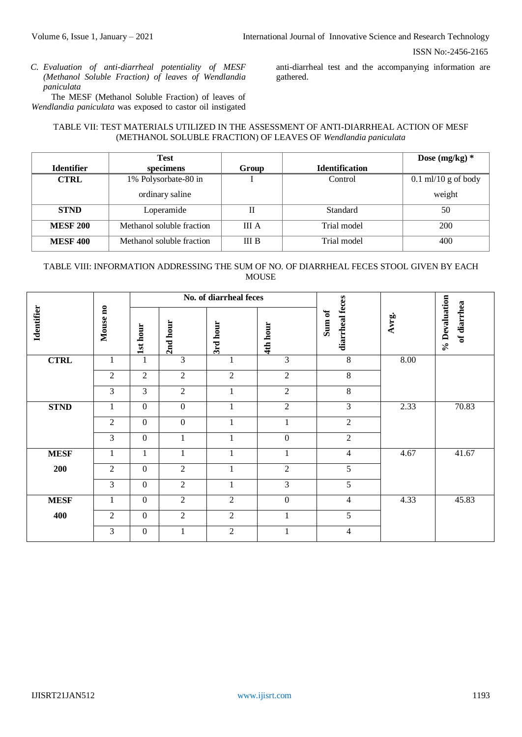*C. Evaluation of anti-diarrheal potentiality of MESF (Methanol Soluble Fraction) of leaves of Wendlandia paniculata*

The MESF (Methanol Soluble Fraction) of leaves of *Wendlandia paniculata* was exposed to castor oil instigated

anti-diarrheal test and the accompanying information are gathered.

## TABLE VII: TEST MATERIALS UTILIZED IN THE ASSESSMENT OF ANTI-DIARRHEAL ACTION OF MESF (METHANOL SOLUBLE FRACTION) OF LEAVES OF *Wendlandia paniculata*

|                   | Test                      |              |                       | Dose $(mg/kg)*$       |
|-------------------|---------------------------|--------------|-----------------------|-----------------------|
| <b>Identifier</b> | specimens                 | Group        | <b>Identification</b> |                       |
| <b>CTRL</b>       | 1% Polysorbate-80 in      |              | Control               | $0.1$ ml/10 g of body |
|                   | ordinary saline           |              |                       | weight                |
| <b>STND</b>       | Loperamide                | П            | Standard              | 50                    |
| <b>MESF 200</b>   | Methanol soluble fraction | <b>III</b> A | Trial model           | <b>200</b>            |
| <b>MESF 400</b>   | Methanol soluble fraction | <b>III B</b> | Trial model           | 400                   |

# TABLE VIII: INFORMATION ADDRESSING THE SUM OF NO. OF DIARRHEAL FECES STOOL GIVEN BY EACH **MOUSE**

|                   |                |                  |                  | No. of diarrheal feces |                  |                           |       |                              |
|-------------------|----------------|------------------|------------------|------------------------|------------------|---------------------------|-------|------------------------------|
| <b>Identifier</b> | Mouse no       | 1st hour         | 2nd hour         | 3rd hour               | 4th hour         | diarrheal feces<br>Sum of | Avrg. | % Devaluation<br>of diarrhea |
| <b>CTRL</b>       | 1              | $\mathbf{1}$     | $\overline{3}$   | 1                      | 3                | 8                         | 8.00  |                              |
|                   | $\overline{2}$ | $\overline{2}$   | $\overline{2}$   | $\overline{2}$         | $\overline{2}$   | $8\,$                     |       |                              |
|                   | 3              | 3                | $\overline{2}$   | 1                      | $\overline{2}$   | 8                         |       |                              |
| <b>STND</b>       | 1              | $\theta$         | $\boldsymbol{0}$ | 1                      | 2                | 3                         | 2.33  | 70.83                        |
|                   | $\overline{2}$ | $\mathbf{0}$     | $\boldsymbol{0}$ | 1                      | 1                | $\overline{2}$            |       |                              |
|                   | 3              | $\boldsymbol{0}$ |                  | 1                      | $\boldsymbol{0}$ | $\overline{2}$            |       |                              |
| <b>MESF</b>       | 1              | 1                |                  | $\mathbf{1}$           | 1                | 4                         | 4.67  | 41.67                        |
| 200               | $\overline{2}$ | $\mathbf{0}$     | $\overline{2}$   | $\mathbf{1}$           | $\overline{2}$   | 5                         |       |                              |
|                   | 3              | $\mathbf{0}$     | $\overline{2}$   | 1                      | 3                | 5                         |       |                              |
| <b>MESF</b>       | $\mathbf{1}$   | $\mathbf{0}$     | $\overline{2}$   | $\overline{2}$         | $\boldsymbol{0}$ | $\overline{\mathcal{L}}$  | 4.33  | 45.83                        |
| 400               | 2              | $\theta$         | 2                | $\overline{2}$         | 1                | 5                         |       |                              |
|                   | 3              | $\boldsymbol{0}$ |                  | $\overline{2}$         | 1                | 4                         |       |                              |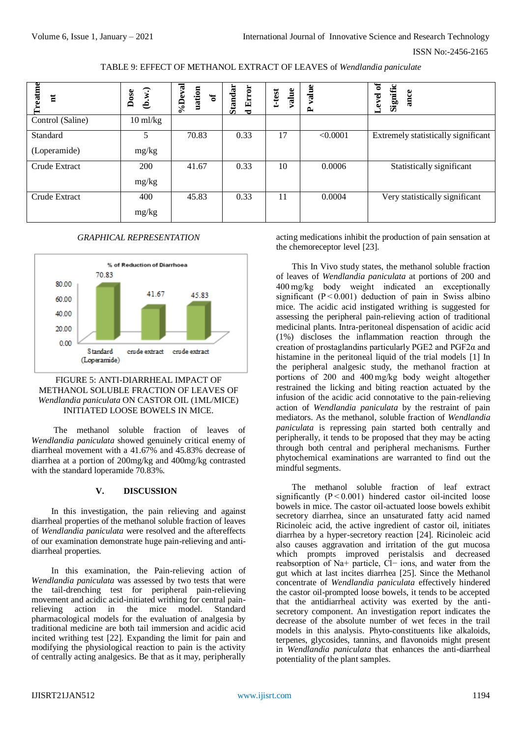TABLE 9: EFFECT OF METHANOL EXTRACT OF LEAVES of *Wendlandia paniculate*

| reatme<br>$\overline{\mathbf{u}}$ | (b.w.)<br>Dose     | %Deval<br>uation<br>$\mathbf{a}$ | Standar<br>d Error | value<br>t-test | value<br>$\mathbf{r}$ | ð<br>Signific<br>ance<br>evel.<br>▬ |
|-----------------------------------|--------------------|----------------------------------|--------------------|-----------------|-----------------------|-------------------------------------|
| Control (Saline)                  | $10 \text{ ml/kg}$ |                                  |                    |                 |                       |                                     |
| Standard                          |                    | 70.83                            | 0.33               | 17              | < 0.0001              | Extremely statistically significant |
| (Loperamide)                      | mg/kg              |                                  |                    |                 |                       |                                     |
| Crude Extract                     | 200                | 41.67                            | 0.33               | 10              | 0.0006                | Statistically significant           |
|                                   | mg/kg              |                                  |                    |                 |                       |                                     |
| Crude Extract                     | 400                | 45.83                            | 0.33               | 11              | 0.0004                | Very statistically significant      |
|                                   | mg/kg              |                                  |                    |                 |                       |                                     |

#### *GRAPHICAL REPRESENTATION*



## FIGURE 5: ANTI-DIARRHEAL IMPACT OF METHANOL SOLUBLE FRACTION OF LEAVES OF *Wendlandia paniculata* ON CASTOR OIL (1ML/MICE) INITIATED LOOSE BOWELS IN MICE.

The methanol soluble fraction of leaves of *Wendlandia paniculata* showed genuinely critical enemy of diarrheal movement with a 41.67% and 45.83% decrease of diarrhea at a portion of 200mg/kg and 400mg/kg contrasted with the standard loperamide 70.83%.

## **V. DISCUSSION**

In this investigation, the pain relieving and against diarrheal properties of the methanol soluble fraction of leaves of *Wendlandia paniculata* were resolved and the aftereffects of our examination demonstrate huge pain-relieving and antidiarrheal properties.

In this examination, the Pain-relieving action of *Wendlandia paniculata* was assessed by two tests that were the tail-drenching test for peripheral pain-relieving movement and acidic acid-initiated writhing for central painrelieving action in the mice model. Standard pharmacological models for the evaluation of analgesia by traditional medicine are both tail immersion and acidic acid incited writhing test [22]. Expanding the limit for pain and modifying the physiological reaction to pain is the activity of centrally acting analgesics. Be that as it may, peripherally

acting medications inhibit the production of pain sensation at the chemoreceptor level [23].

This In Vivo study states, the methanol soluble fraction of leaves of *Wendlandia paniculata* at portions of 200 and 400 mg/kg body weight indicated an exceptionally significant  $(P < 0.001)$  deduction of pain in Swiss albino mice. The acidic acid instigated writhing is suggested for assessing the peripheral pain-relieving action of traditional medicinal plants. Intra-peritoneal dispensation of acidic acid (1%) discloses the inflammation reaction through the creation of prostaglandins particularly PGE2 and PGF2α and histamine in the peritoneal liquid of the trial models [1] In the peripheral analgesic study, the methanol fraction at portions of 200 and 400 mg/kg body weight altogether restrained the licking and biting reaction actuated by the infusion of the acidic acid connotative to the pain-relieving action of *Wendlandia paniculata* by the restraint of pain mediators. As the methanol, soluble fraction of *Wendlandia paniculata* is repressing pain started both centrally and peripherally, it tends to be proposed that they may be acting through both central and peripheral mechanisms. Further phytochemical examinations are warranted to find out the mindful segments.

The methanol soluble fraction of leaf extract significantly  $(P < 0.001)$  hindered castor oil-incited loose bowels in mice. The castor oil-actuated loose bowels exhibit secretory diarrhea, since an unsaturated fatty acid named Ricinoleic acid, the active ingredient of castor oil, initiates diarrhea by a hyper-secretory reaction [24]. Ricinoleic acid also causes aggravation and irritation of the gut mucosa which prompts improved peristalsis and decreased reabsorption of Na+ particle, Cl− ions, and water from the gut which at last incites diarrhea [25]. Since the Methanol concentrate of *Wendlandia paniculata* effectively hindered the castor oil-prompted loose bowels, it tends to be accepted that the antidiarrheal activity was exerted by the antisecretory component. An investigation report indicates the decrease of the absolute number of wet feces in the trail models in this analysis. Phyto-constituents like alkaloids, terpenes, glycosides, tannins, and flavonoids might present in *Wendlandia paniculata* that enhances the anti-diarrheal potentiality of the plant samples.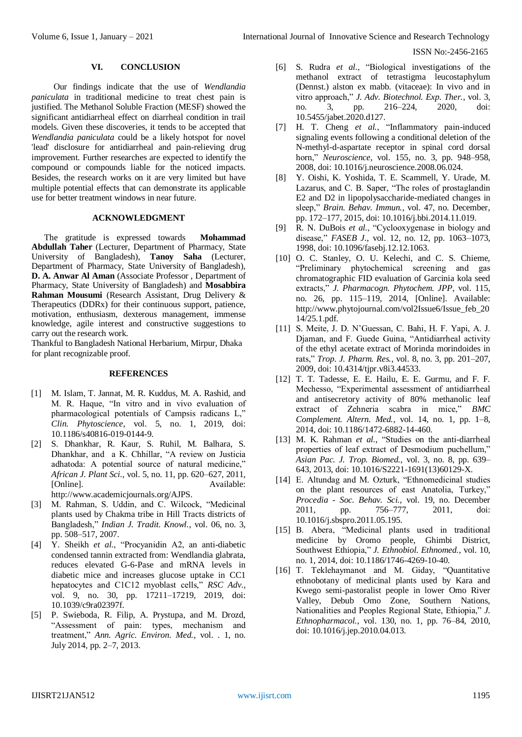#### **VI. CONCLUSION**

Our findings indicate that the use of *Wendlandia paniculata* in traditional medicine to treat chest pain is justified. The Methanol Soluble Fraction (MESF) showed the significant antidiarrheal effect on diarrheal condition in trail models. Given these discoveries, it tends to be accepted that *Wendlandia paniculata* could be a likely hotspot for novel 'lead' disclosure for antidiarrheal and pain-relieving drug improvement. Further researches are expected to identify the compound or compounds liable for the noticed impacts. Besides, the research works on it are very limited but have multiple potential effects that can demonstrate its applicable use for better treatment windows in near future.

#### **ACKNOWLEDGMENT**

The gratitude is expressed towards **Mohammad Abdullah Taher** (Lecturer, Department of Pharmacy, State University of Bangladesh), **Tanoy Saha** (Lecturer, Department of Pharmacy, State University of Bangladesh), **D. A. Anwar Al Aman** (Associate Professor , Department of Pharmacy, State University of Bangladesh) and **Mosabbira Rahman Mousumi** (Research Assistant, Drug Delivery & Therapeutics (DDRx) for their continuous support, patience, motivation, enthusiasm, dexterous management, immense knowledge, agile interest and constructive suggestions to carry out the research work.

Thankful to Bangladesh National Herbarium, Mirpur, Dhaka for plant recognizable proof.

### **REFERENCES**

- [1] M. Islam, T. Jannat, M. R. Kuddus, M. A. Rashid, and M. R. Haque, "In vitro and in vivo evaluation of pharmacological potentials of Campsis radicans L," *Clin. Phytoscience*, vol. 5, no. 1, 2019, doi: 10.1186/s40816-019-0144-9.
- [2] S. Dhankhar, R. Kaur, S. Ruhil, M. Balhara, S. Dhankhar, and a K. Chhillar, "A review on Justicia adhatoda: A potential source of natural medicine," *African J. Plant Sci.*, vol. 5, no. 11, pp. 620–627, 2011, [Online]. Available: http://www.academicjournals.org/AJPS.
- [3] M. Rahman, S. Uddin, and C. Wilcock, "Medicinal plants used by Chakma tribe in Hill Tracts districts of Bangladesh," *Indian J. Tradit. Knowl.*, vol. 06, no. 3, pp. 508–517, 2007.
- [4] Y. Sheikh *et al.*, "Procyanidin A2, an anti-diabetic condensed tannin extracted from: Wendlandia glabrata, reduces elevated G-6-Pase and mRNA levels in diabetic mice and increases glucose uptake in CC1 hepatocytes and C1C12 myoblast cells," *RSC Adv.*, vol. 9, no. 30, pp. 17211–17219, 2019, doi: 10.1039/c9ra02397f.
- [5] P. Swieboda, R. Filip, A. Prystupa, and M. Drozd, "Assessment of pain: types, mechanism and treatment," *Ann. Agric. Environ. Med.*, vol. . 1, no. July 2014, pp. 2–7, 2013.
- [6] S. Rudra *et al.*, "Biological investigations of the methanol extract of tetrastigma leucostaphylum (Dennst.) alston ex mabb. (vitaceae): In vivo and in vitro approach," *J. Adv. Biotechnol. Exp. Ther.*, vol. 3, no. 3, pp. 216–224, 2020, doi: 10.5455/jabet.2020.d127.
- [7] H. T. Cheng *et al.*, "Inflammatory pain-induced signaling events following a conditional deletion of the N-methyl-d-aspartate receptor in spinal cord dorsal horn," *Neuroscience*, vol. 155, no. 3, pp. 948–958, 2008, doi: 10.1016/j.neuroscience.2008.06.024.
- [8] Y. Oishi, K. Yoshida, T. E. Scammell, Y. Urade, M. Lazarus, and C. B. Saper, "The roles of prostaglandin E2 and D2 in lipopolysaccharide-mediated changes in sleep," *Brain. Behav. Immun.*, vol. 47, no. December, pp. 172–177, 2015, doi: 10.1016/j.bbi.2014.11.019.
- [9] R. N. DuBois *et al.*, "Cyclooxygenase in biology and disease," *FASEB J.*, vol. 12, no. 12, pp. 1063–1073, 1998, doi: 10.1096/fasebj.12.12.1063.
- [10] O. C. Stanley, O. U. Kelechi, and C. S. Chieme, "Preliminary phytochemical screening and gas chromatographic FID evaluation of Garcinia kola seed extracts," *J. Pharmacogn. Phytochem. JPP*, vol. 115, no. 26, pp. 115–119, 2014, [Online]. Available: http://www.phytojournal.com/vol2Issue6/Issue\_feb\_20 14/25.1.pdf.
- [11] S. Meite, J. D. N'Guessan, C. Bahi, H. F. Yapi, A. J. Djaman, and F. Guede Guina, "Antidiarrheal activity of the ethyl acetate extract of Morinda morindoides in rats," *Trop. J. Pharm. Res.*, vol. 8, no. 3, pp. 201–207, 2009, doi: 10.4314/tjpr.v8i3.44533.
- [12] T. T. Tadesse, E. E. Hailu, E. E. Gurmu, and F. F. Mechesso, "Experimental assessment of antidiarrheal and antisecretory activity of 80% methanolic leaf extract of Zehneria scabra in mice," *BMC Complement. Altern. Med.*, vol. 14, no. 1, pp. 1–8, 2014, doi: 10.1186/1472-6882-14-460.
- [13] M. K. Rahman *et al.*, "Studies on the anti-diarrheal properties of leaf extract of Desmodium puchellum," *Asian Pac. J. Trop. Biomed.*, vol. 3, no. 8, pp. 639– 643, 2013, doi: 10.1016/S2221-1691(13)60129-X.
- [14] E. Altundag and M. Ozturk, "Ethnomedicinal studies on the plant resources of east Anatolia, Turkey," *Procedia - Soc. Behav. Sci.*, vol. 19, no. December 2011, pp. 756–777, 2011, doi: 10.1016/j.sbspro.2011.05.195.
- [15] B. Abera, "Medicinal plants used in traditional medicine by Oromo people, Ghimbi District, Southwest Ethiopia," *J. Ethnobiol. Ethnomed.*, vol. 10, no. 1, 2014, doi: 10.1186/1746-4269-10-40.
- [16] T. Teklehaymanot and M. Giday, "Quantitative ethnobotany of medicinal plants used by Kara and Kwego semi-pastoralist people in lower Omo River Valley, Debub Omo Zone, Southern Nations, Nationalities and Peoples Regional State, Ethiopia," *J. Ethnopharmacol.*, vol. 130, no. 1, pp. 76–84, 2010, doi: 10.1016/j.jep.2010.04.013.